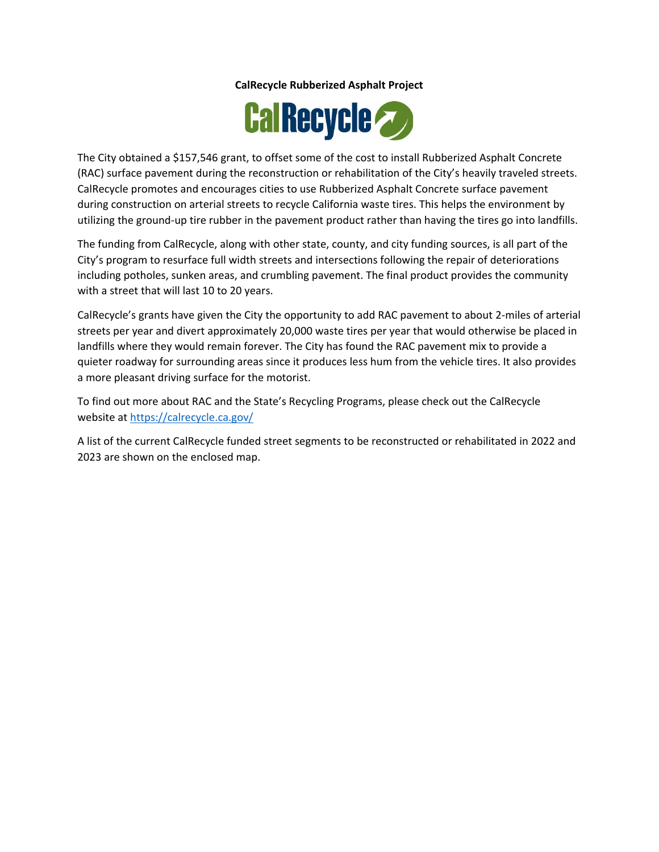## **CalRecycle Rubberized Asphalt Project**



The City obtained a \$157,546 grant, to offset some of the cost to install Rubberized Asphalt Concrete (RAC) surface pavement during the reconstruction or rehabilitation of the City's heavily traveled streets. CalRecycle promotes and encourages cities to use Rubberized Asphalt Concrete surface pavement during construction on arterial streets to recycle California waste tires. This helps the environment by utilizing the ground-up tire rubber in the pavement product rather than having the tires go into landfills.

The funding from CalRecycle, along with other state, county, and city funding sources, is all part of the City's program to resurface full width streets and intersections following the repair of deteriorations including potholes, sunken areas, and crumbling pavement. The final product provides the community with a street that will last 10 to 20 years.

CalRecycle's grants have given the City the opportunity to add RAC pavement to about 2-miles of arterial streets per year and divert approximately 20,000 waste tires per year that would otherwise be placed in landfills where they would remain forever. The City has found the RAC pavement mix to provide a quieter roadway for surrounding areas since it produces less hum from the vehicle tires. It also provides a more pleasant driving surface for the motorist.

To find out more about RAC and the State's Recycling Programs, please check out the CalRecycle website at<https://calrecycle.ca.gov/>

A list of the current CalRecycle funded street segments to be reconstructed or rehabilitated in 2022 and 2023 are shown on the enclosed map.